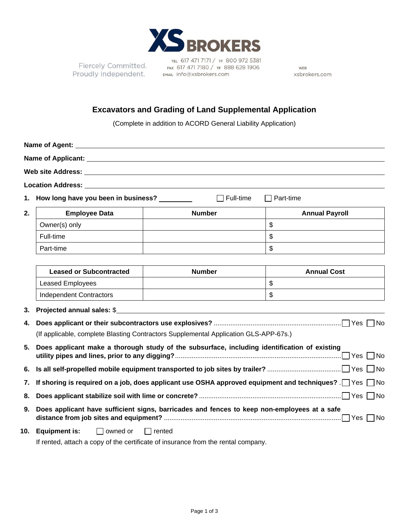

Fiercely Committed. Fiercely Committed.<br>Proudly Independent. FRANL info@xsbrokers.com

TEL 617 471 7171 / TF 800 972 5381 FAX 617 471 7180 / TF 888 628 1906

WEB xsbrokers.com

## **Excavators and Grading of Land Supplemental Application**

(Complete in addition to ACORD General Liability Application)

| Location Address: Universe of the Contract of the Contract of the Contract of the Contract of the Contract of the Contract of the Contract of the Contract of the Contract of the Contract of the Contract of the Contract of |                     |  |
|-------------------------------------------------------------------------------------------------------------------------------------------------------------------------------------------------------------------------------|---------------------|--|
| 1. How long have you been in business?                                                                                                                                                                                        | Full-time Part-time |  |

| 2. | <b>Employee Data</b> | <b>Number</b> | <b>Annual Payroll</b> |
|----|----------------------|---------------|-----------------------|
|    | Owner(s) only        |               | ۰U                    |
|    | Full-time            |               | ۰U                    |
|    | Part-time            |               | ຟ                     |

| <b>Leased or Subcontracted</b> | <b>Number</b> | <b>Annual Cost</b> |
|--------------------------------|---------------|--------------------|
| Leased Employees               |               | w                  |
| Independent Contractors        |               | w                  |

**3. Projected annual sales:** \$

| (If applicable, complete Blasting Contractors Supplemental Application GLS-APP-67s.)                           |
|----------------------------------------------------------------------------------------------------------------|
| 5. Does applicant make a thorough study of the subsurface, including identification of existing                |
|                                                                                                                |
| 7. If shoring is required on a job, does applicant use OSHA approved equipment and techniques? [ Yes $\Box$ No |
|                                                                                                                |
| 9. Does applicant have sufficient signs, barricades and fences to keep non-employees at a safe                 |
| <b>10. Equipment is:</b> $\Box$ owned or $\Box$ rented                                                         |
|                                                                                                                |

If rented, attach a copy of the certificate of insurance from the rental company.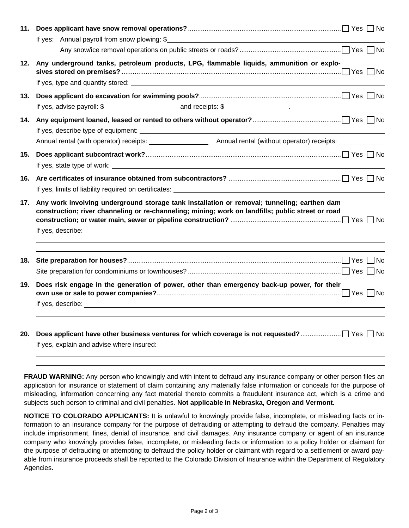| 11. | If yes: Annual payroll from snow plowing: \$                                                                                                                                                                                         |
|-----|--------------------------------------------------------------------------------------------------------------------------------------------------------------------------------------------------------------------------------------|
|     |                                                                                                                                                                                                                                      |
|     | 12. Any underground tanks, petroleum products, LPG, flammable liquids, ammunition or explo-                                                                                                                                          |
| 13. | If yes, advise payroll: \$                                                                                                                                                                                                           |
|     |                                                                                                                                                                                                                                      |
|     |                                                                                                                                                                                                                                      |
| 15. |                                                                                                                                                                                                                                      |
|     | If yes, limits of liability required on certificates: <b>All any of the control of the control of the control of the control of the control of the control of the control of the control of the control of the control of the co</b> |
| 17. | Any work involving underground storage tank installation or removal; tunneling; earthen dam<br>construction; river channeling or re-channeling; mining; work on landfills; public street or road                                     |
|     |                                                                                                                                                                                                                                      |
| 18. |                                                                                                                                                                                                                                      |
| 19. | Does risk engage in the generation of power, other than emergency back-up power, for their                                                                                                                                           |
|     |                                                                                                                                                                                                                                      |
| 20. |                                                                                                                                                                                                                                      |

**FRAUD WARNING:** Any person who knowingly and with intent to defraud any insurance company or other person files an application for insurance or statement of claim containing any materially false information or conceals for the purpose of misleading, information concerning any fact material thereto commits a fraudulent insurance act, which is a crime and subjects such person to criminal and civil penalties. **Not applicable in Nebraska, Oregon and Vermont.**

**NOTICE TO COLORADO APPLICANTS:** It is unlawful to knowingly provide false, incomplete, or misleading facts or information to an insurance company for the purpose of defrauding or attempting to defraud the company. Penalties may include imprisonment, fines, denial of insurance, and civil damages. Any insurance company or agent of an insurance company who knowingly provides false, incomplete, or misleading facts or information to a policy holder or claimant for the purpose of defrauding or attempting to defraud the policy holder or claimant with regard to a settlement or award payable from insurance proceeds shall be reported to the Colorado Division of Insurance within the Department of Regulatory Agencies.